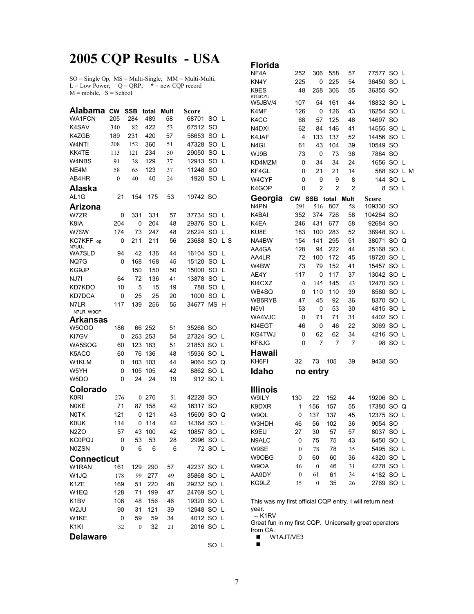## **2005 CQP Results - USA**

SO = Single Op, MS = Multi-Single, MM = Multi-Multi,  $L = Low Power$ ;  $Q = QRP$ ;  $* = new COP record$  $M = \text{mobile}, S = \text{School}$ 

| <b>Alabama</b>          | <b>CW</b> | SSB | total | Mult | Score |           |     |
|-------------------------|-----------|-----|-------|------|-------|-----------|-----|
| <b>WA1FCN</b>           | 205       | 284 | 489   | 58   | 68701 | SO        | L   |
| K4SAV                   | 340       | 82  | 422   | 53   | 67512 | SO        |     |
| K4ZGB                   | 189       | 231 | 420   | 57   | 58653 | SO        | L   |
| W4NTI                   | 208       | 152 | 360   | 51   | 47328 | SO        | L   |
| KK4TE                   | 113       | 121 | 234   | 50   | 29050 | SO        | L   |
| W4NBS                   | 91        | 38  | 129   | 37   | 12913 | SO        | L   |
| NE4M                    | 58        | 65  | 123   | 37   | 11248 | <b>SO</b> |     |
| AB4HR                   | 0         | 40  | 40    | 24   | 1920  | SO        | L   |
| Alaska                  |           |     |       |      |       |           |     |
| AL <sub>1</sub> G       | 21        | 154 | 175   | 53   | 19742 | -SO       |     |
| Arizona                 |           |     |       |      |       |           |     |
| W7ZR                    | 0         | 331 | 331   | 57   | 37734 | SO        | L   |
| K8IA                    | 204       | 0   | 204   | 48   | 29376 | SO        | L   |
| W7SW                    | 174       | 73  | 247   | 48   | 28224 | SO        | L   |
| KC7KFF<br>op            | 0         | 211 | 211   | 56   | 23688 | SO        | L S |
| N7UUJ<br><b>WA7SLD</b>  | 94        | 42  | 136   | 44   | 16104 | SO        | L   |
| NQ7G                    | 0         | 168 | 168   | 45   | 15120 | <b>SO</b> | L   |
| KG9JP                   |           | 150 | 150   | 50   | 15000 | SO        | L   |
| NJ7I                    | 64        | 72  | 136   | 41   | 13878 | SO        | L   |
| KD7KDO                  | 10        | 5   | 15    | 19   | 788   | SO        | L   |
| KD7DCA                  | 0         | 25  | 25    | 20   | 1000  | SO        | L   |
| N7LR                    | 117       |     | 256   |      | 34677 | <b>MS</b> | н   |
| N7LR, W9CF              |           | 139 |       | 55   |       |           |     |
| <b>Arkansas</b>         |           |     |       |      |       |           |     |
| <b>W5000</b>            | 186       | 66  | 252   | 51   | 35266 | <b>SO</b> |     |
| KI7GV                   | 0         | 253 | 253   | 54   | 27324 | SO        | L   |
| WA5SOG                  | 60        | 123 | 183   | 51   | 21853 | SO        | L   |
| K5ACO                   | 60        | 76  | 136   | 48   | 15936 | SO        | L   |
| W1KLM                   | 0         | 103 | 103   | 44   | 9064  | SO        | Q   |
| W5YH                    | 0         | 105 | 105   | 42   | 8862  | SO        | L   |
| W <sub>5</sub> DO       | 0         | 24  | 24    | 19   | 912   | SO        | L   |
|                         |           |     |       |      |       |           |     |
| Colorado<br><b>K0RI</b> |           |     |       |      |       |           |     |
| <b>N0KE</b>             | 276       | 0   | 276   | 51   | 42228 | SO        |     |
|                         | 71        | 87  | 158   | 42   | 16317 | SO        |     |
| <b>NOTK</b>             | 121       | 0   | 121   | 43   | 15609 | SO        | Q   |
| KOUK                    | 114       | 0   | 114   | 42   | 14364 | SO        | L   |
| N <sub>2</sub> ZO       | 57        | 43  | 100   | 42   | 10857 | SO        | L   |
| <b>KC0PQJ</b>           | 0         | 53  | 53    | 28   | 2996  | SΟ        | L   |
| N0ZSN                   | 0         | 6   | 6     | 6    | 72    | SO        | L   |
| <b>Connecticut</b>      |           |     |       |      |       |           |     |
| W1RAN                   | 161       | 129 | 290   | 57   | 42237 | SO        | L   |
| W <sub>1JQ</sub>        | 178       | 99  | 277   | 49   | 35868 | SO        | L   |
| K <sub>1</sub> ZE       | 169       | 51  | 220   | 48   | 29232 | SO        | L   |
| W1EQ                    | 128       | 71  | 199   | 47   | 24769 | <b>SO</b> | L   |
| K <sub>1</sub> BV       | 108       | 48  | 156   | 46   | 19320 | SO        | L   |
| W2JU                    | 90        | 31  | 121   | 39   | 12948 | SO        | L   |
| W1KE                    | 0         | 59  | 59    | 34   | 4012  | SO        | L   |
| K <sub>1KI</sub>        | 32        | 0   | 32    | 21   | 2016  | SO        | L   |
| <b>Delaware</b>         |           |     |       |      |       |           |     |
|                         |           |     |       |      |       | SO L      |     |

| Florida        |                  |                  |       |      |         |    |     |  |
|----------------|------------------|------------------|-------|------|---------|----|-----|--|
| NF4A           | 252              | 306              | 558   | 57   | 77577   | SO | L   |  |
| KN4Y           | 225              | 0                | 225   | 54   | 36450   | SO | L   |  |
| K9ES<br>KG4CZU | 48               | 258              | 306   | 55   | 36355   | SO |     |  |
| W5JBV/4        | 107              | 54               | 161   | 44   | 18832   | SO | L   |  |
| K4MF           | 126              | 0                | 126   | 43   | 16254   | SO | L   |  |
| K4CC           | 68               | 57               | 125   | 46   | 14697   | SO |     |  |
| N4DXI          | 62               | 84               | 146   | 41   | 14555   | SO | L   |  |
| K4JAF          | 4                | 133              | 137   | 52   | 14456   | SO | L   |  |
| N4GI           | 61               | 43               | 104   | 39   | 10549   | SO |     |  |
| WJ9B           | 73               | 0                | 73    | 36   | 7884    | SO |     |  |
| KD4MZM         | 0                | 34               | 34    | 24   | 1656    | SO | L   |  |
| KF4GL          | 0                | 21               | 21    | 14   | 588     | SO | L M |  |
| W4CYF          | 0                | 9                | 9     | 8    | 144     | SO | L   |  |
| K4GOP          | 0                | 2                | 2     | 2    | 8       | SO | L   |  |
| Georgia        | CW⊣              | <b>SSB</b>       | total | Mult | Score   |    |     |  |
| N4PN           | 291              | 516              | 807   | 58   | 109330  | SO |     |  |
| K4BAI          | 352              | 374              | 726   | 58   | 104284  | SO |     |  |
| K4EA           | 246              | 431              | 677   | 58   | 92684   | SO |     |  |
| KU8E           | 183              | 100              | 283   | 52   | 38948   | SO | L   |  |
| NA4BW          | 154              | 141              | 295   | 51   | 38071   | SO | Q   |  |
| AA4GA          | 128              | 94               | 222   | 44   | 25168   | SO | L   |  |
| AA4LR          | 72               | 100              | 172   | 45   | 18720   | SO | L   |  |
| W4BW           | 73               | 79               | 152   | 41   | 15457   | SO | L   |  |
| AE4Y           | 117              | 0                | 117   | 37   | 13042   | SO | L   |  |
| KI4CXZ         | $\boldsymbol{0}$ | 145              | 145   | 43   | 12470   | SO | L   |  |
| WB4SQ          | 0                | 110              | 110   | 39   | 8580    | SO | L   |  |
| WB5RYB         | 47               | 45               | 92    | 36   | 8370    | SO | L   |  |
| N5VI           | 53               | 0                | 53    | 30   | 4815    | SO | L   |  |
| WA4VJC         | 0                | 71               | 71    | 31   | 4402    | SO | L   |  |
| KI4EGT         | 46               | 0                | 46    | 22   | 3069    | SO | L   |  |
| KG4TWJ         | 0                | 62               | 62    | 34   | 4216    | SO | L   |  |
| KF6JG          | 0                | 7                | 7     | 7    | 98      | SO | L   |  |
| Hawaii         |                  |                  |       |      |         |    |     |  |
| KH6FI          | 32               | 73               | 105   | 39   | 9438 SO |    |     |  |
| Idaho          |                  | no entry         |       |      |         |    |     |  |
| Illinois       |                  |                  |       |      |         |    |     |  |
| W9ILY          | 130              | 22               | 152   | 44   | 19206   | SO | L   |  |
| K9DXR          | 1                | 156              | 157   | 55   | 17380   | SO | Q   |  |
| W9QL           | 0                | 137              | 137   | 45   | 12375   | SO | L   |  |
| W3HDH          | 46               | 56               | 102   | 36   | 9054    | SO |     |  |
| K9EU           | 27               | 30               | 57    | 57   | 8037    | SO | L   |  |
| N9ALC          | 0                | 75               | 75    | 43   | 6450    | SO | L   |  |
| W9SE           | $\boldsymbol{0}$ | 78               | 78    | 35   | 5495    | SO | L   |  |
| W9OBG          | 0                | 60               | 60    | 36   | 4320    | SO | L   |  |
| W9OA           | 46               | $\boldsymbol{0}$ | 46    | 31   | 4278    | SO | L   |  |
| AA9DY          | $\boldsymbol{0}$ | 61               | 61    | 34   | 4182    | SO | L   |  |
| KG9LZ          | 35               | 0                | 35    | 26   | 2769    | SO | L   |  |
|                |                  |                  |       |      |         |    |     |  |

This was my first official CQP entry. I will return next year.

 -- K1RV Great fun in my first CQP. Unicersally great operators from CA.

 $W1AJT/VE3$  $\blacksquare$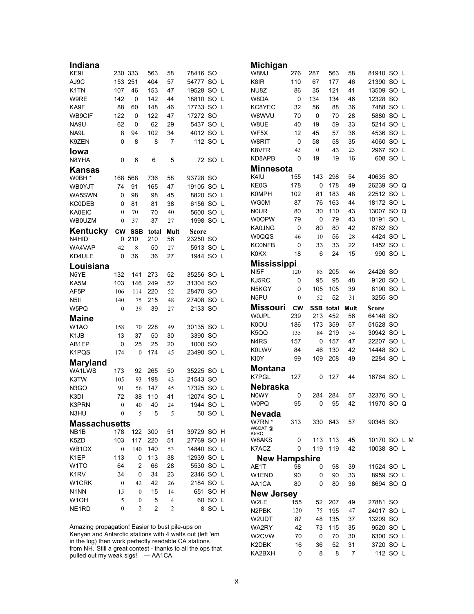| Indiana                                         |                  |                   |                |                |                   |         | Michigan                      |              |                  |            |          |                         |          |  |
|-------------------------------------------------|------------------|-------------------|----------------|----------------|-------------------|---------|-------------------------------|--------------|------------------|------------|----------|-------------------------|----------|--|
| KE9I                                            | 230 333          |                   | 563            | 58             | 78416 SO          |         | W8MJ                          | 276          | 287              | 563        | 58       | 81910 SO L              |          |  |
| AJ9C                                            | 153 251          |                   | 404            | 57             | 54777 SO L        |         | K8IR                          | 110          | 67               | 177        | 46       | 21390 SO L              |          |  |
| K <sub>1</sub> TN                               | 107              | 46                | 153            | 47             | 19528 SO L        |         | NU8Z                          | 86           | 35               | 121        | 41       | 13509 SO L              |          |  |
| W9RE                                            | 142              | 0                 | 142            | 44             | 18810 SO L        |         | W8DA                          | $\mathbf 0$  | 134              | 134        | 46       | 12328 SO                |          |  |
| KA9F                                            | 88               | 60                | 148            | 46             | 17733 SO L        |         | KC8YEC                        | 32           | 56               | 88         | 36       | 7488 SO L               |          |  |
| WB9CIF                                          | 122              | 0                 | 122            | 47             | 17272 SO          |         | W8WVU                         | 70           | 0                | 70         | 28       | 5880 SO L               |          |  |
| NA9U                                            | 62               | 0                 | 62             | 29             | 5437 SO L         |         | W8UE                          | 40           | 19               | 59         | 33       | 5214 SO L               |          |  |
| NA9L                                            | 8                | 94                | 102            | 34             | 4012 SO L         |         | WF5X                          | 12           | 45               | 57         | 36       | 4536 SO L               |          |  |
| K9ZEN                                           | $\Omega$         | 8                 | 8              | 7              | 112 SO L          |         | W8RIT                         | 0            | 58               | 58         | 35       | 4060 SO L               |          |  |
| <b>lowa</b>                                     |                  |                   |                |                |                   |         | K8VFR                         | 43           | $\mathbf{0}$     | 43         | 23       | 2967 SO L               |          |  |
| N8YHA                                           | 0                | 6                 | 6              | 5              |                   | 72 SO L | KD8APB                        | $\Omega$     | 19               | 19         | 16       |                         | 608 SO L |  |
| Kansas                                          |                  |                   |                |                |                   |         | <b>Minnesota</b>              |              |                  |            |          |                         |          |  |
| W0BH *                                          | 168 568          |                   | 736            | 58             | 93728 SO          |         | K4IU                          | 155          | 143              | 298        | 54       | 40635 SO                |          |  |
| <b>WB0YJT</b>                                   | 74               | 91                | 165            | 47             | 19105 SO L        |         | KE0G                          | 178          | 0                | 178        | 49       | 26239 SO Q              |          |  |
| WA5SWN                                          | 0                | 98                | 98             | 45             | 8820 SO L         |         | <b>K0MPH</b>                  | 102          | 81               | 183        | 48       | 22512 SO L              |          |  |
| <b>KC0DEB</b>                                   | 0                | 81                | 81             | 38             | 6156 SO L         |         | <b>WG0M</b>                   | 87           | 76               | 163        | 44       | 18172 SO L              |          |  |
| <b>KA0EIC</b>                                   | $\theta$         | 70                | 70             | 40             | 5600 SO L         |         | <b>NOUR</b>                   | 80           | 30               | 110        | 43       | 13007 SO Q              |          |  |
| <b>WB0UZM</b>                                   | $\boldsymbol{0}$ | 37                | 37             | 27             | 1998 SO L         |         | W0OPW                         | 79           | 0                | 79         | 43       | 10191 SO L              |          |  |
| Kentucky                                        |                  |                   |                |                |                   |         | KA0JNG                        | 0            | 80               | 80         | 42       | 6762 SO                 |          |  |
| N4HID                                           | <b>CW</b><br>0   | <b>SSB</b><br>210 | total<br>210   | Mult<br>56     | Score<br>23250 SO |         | W0QQS                         | 46           | 10               | 56         | 28       | 4424 SO L               |          |  |
| WA4VAP                                          | 42               | 8                 | 50             | 27             | 5913 SO L         |         | <b>KCONFB</b>                 | 0            | 33               | 33         | 22       | 1452 SO L               |          |  |
| KD4ULE                                          | 0                | 36                | 36             | 27             | 1944 SO L         |         | <b>K0KX</b>                   | 18           | 6                | 24         | 15       |                         | 990 SO L |  |
|                                                 |                  |                   |                |                |                   |         | <b>Mississippi</b>            |              |                  |            |          |                         |          |  |
| Louisiana                                       |                  |                   |                |                |                   |         | NI <sub>5</sub> F             | 120          | 85               | 205        | 46       | 24426 SO                |          |  |
| N <sub>5</sub> YE                               | 132              | 141               | 273            | 52             | 35256 SO L        |         | KJ5RC                         | 0            | 95               | 95         | 48       | 9120 SO L               |          |  |
| KA5M                                            | 103              | 146               | 249            | 52             | 31304 SO          |         | N5KGY                         | 0            | 105              | 105        | 39       | 8190 SO L               |          |  |
| AF5P                                            | 106              | 114               | 220            | 52             | 28470 SO          |         |                               |              |                  |            |          |                         |          |  |
|                                                 |                  |                   |                |                |                   |         |                               |              |                  |            |          |                         |          |  |
| N <sub>5</sub> II                               | 140              | 75                | 215            | 48             | 27408 SO L        |         | N5PU                          | $\mathbf{0}$ | 52               | 52         | 31       | 3255 SO                 |          |  |
| W5PQ                                            | $\mathbf{0}$     | 39                | 39             | 27             | 2133 SO           |         | Missouri                      | <b>CW</b>    | <b>SSB</b> total |            | Mult     | Score                   |          |  |
| <b>Maine</b>                                    |                  |                   |                |                |                   |         | <b>WOJPL</b>                  | 239          | 213              | 452        | 56       | 64148 SO                |          |  |
| W <sub>1</sub> AO                               | 158              | 70                | 228            | 49             | 30135 SO L        |         | K0OU                          | 186          | 173              | 359        | 57       | 51528 SO                |          |  |
| K <sub>1</sub> J <sub>B</sub>                   | 13               | 37                | 50             | 30             | 3390 SO           |         | K5QQ                          | 135          | 84               | 219        | 54       | 30942 SO L              |          |  |
| AB1EP                                           | 0                | 25                | 25             | 20             | 1000 SO           |         | N <sub>4</sub> R <sub>S</sub> | 157          | 0                | 157        | 47       | 22207 SO L              |          |  |
| K1PQS                                           | 174              | $\mathbf{0}$      | 174            | 45             | 23490 SO L        |         | <b>K0LWV</b>                  | 84           | 46               | 130        | 42       | 14448 SO L              |          |  |
| <b>Maryland</b>                                 |                  |                   |                |                |                   |         | KI0Y                          | 99           | 109              | 208        | 49       | 2284 SO L               |          |  |
| WA1LWS                                          | 173              | 92                | 265            | 50             | 35225 SO L        |         | <b>Montana</b>                |              |                  |            |          |                         |          |  |
| K3TW                                            | 105              | 93                | 198            | 43             | 21543 SO          |         | K7PGL                         | 127          | 0                | 127        | 44       | 16764 SO L              |          |  |
| N <sub>3</sub> GO                               | 91               | 56                | 147            | 45             | 17325 SO L        |         | <b>Nebraska</b>               |              |                  |            |          |                         |          |  |
| K3DI                                            | 72               | 38                | 110            | 41             | 12074 SO L        |         | N0WY                          | 0            | 284              | 284        | 57       | 32376 SO L              |          |  |
| K3PRN                                           | $\mathbf{0}$     | 40                | 40             | 24             | 1944 SO L         |         | <b>W0PQ</b>                   | 95           | 0                | 95         | 42       | 11970 SO Q              |          |  |
| N3HU                                            | $\boldsymbol{0}$ | 5                 | 5              | 5              |                   | 50 SO L | <b>Nevada</b>                 |              |                  |            |          |                         |          |  |
| <b>Massachusetts</b>                            |                  |                   |                |                |                   |         | W7RN *                        | 313          | 330              | 643        | 57       | 90345 SO                |          |  |
| NB <sub>1</sub> B                               | 178              | 122               | 300            | 51             | 39729 SO H        |         | W6OAT@<br>K5RC                |              |                  |            |          |                         |          |  |
| K5ZD                                            | 103              | 117               | 220            | 51             | 27769 SO H        |         | W8AKS                         | 0            | 113              | 113        | 45       | 10170 SO L M            |          |  |
| WB1DX                                           | $\boldsymbol{0}$ | 140               | 140            | 53             | 14840 SO L        |         | K7ACZ                         | 0            | 119              | 119        | 42       | 10038 SO L              |          |  |
| K1EP                                            | 113              | 0                 | 113            | 38             | 12939 SO L        |         |                               |              |                  |            |          |                         |          |  |
| W <sub>1</sub> TO                               | 64               | 2                 | 66             | 28             | 5530 SO L         |         | <b>New Hampshire</b><br>AE1T  | 98           | 0                | 98         | 39       |                         |          |  |
| K <sub>1</sub> RV                               | 34               | 0                 | 34             | 23             | 2346 SO L         |         | W1END                         | 90           | 0                | 90         | 33       | 11524 SO L<br>8959 SO L |          |  |
| W1CRK                                           | $\boldsymbol{0}$ | 42                | 42             | 26             | 2184 SO L         |         | AA1CA                         | 80           | 0                | 80         | 36       |                         |          |  |
| N <sub>1</sub> NN                               | 15               | $\boldsymbol{0}$  | 15             | 14             | 651 SO H          |         |                               |              |                  |            |          | 8694 SO Q               |          |  |
| W <sub>1</sub> OH                               | 5                | $\mathbf{0}$      | 5              | 4              |                   | 60 SO L | <b>New Jersey</b>             |              |                  |            |          |                         |          |  |
| NE1RD                                           | $\mathbf{0}$     | $\overline{c}$    | $\overline{2}$ | $\overline{c}$ |                   | 8 SO L  | W2LE                          | 155          | 52               | 207        | 49       | 27881 SO                |          |  |
|                                                 |                  |                   |                |                |                   |         | N2PBK                         | 120          | 75               | 195        | 47       | 24017 SO L              |          |  |
| Amazing propagation! Easier to bust pile-ups on |                  |                   |                |                |                   |         | W2UDT<br>WA2RY                | 87<br>42     | 48<br>73         | 135<br>115 | 37<br>35 | 13209 SO<br>9520 SO L   |          |  |

in the log) then work perfectly readable CA stations from NH. Still a great contest - thanks to all the ops that pulled out my weak sigs! --- AA1CA

K2DBK 16 36 52 31 3720 SO L KA2BXH 0 8 8 7 112 SO L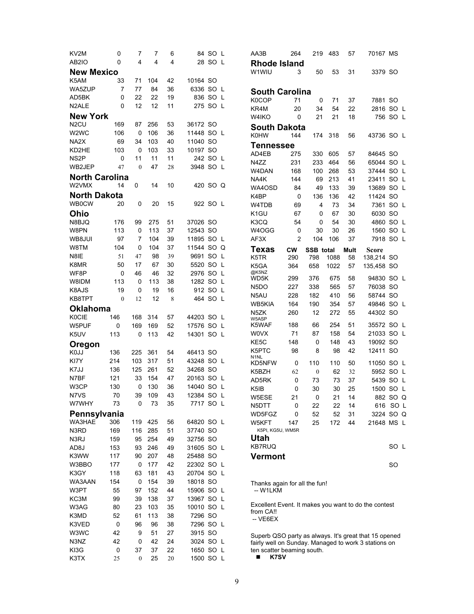| KV2M                  | 0            | 7                | 7       | 6  |            | 84 SO L | AA3B                                                                                                          | 264            | 219              | 483  | 57   | 70167 MS     |          |  |
|-----------------------|--------------|------------------|---------|----|------------|---------|---------------------------------------------------------------------------------------------------------------|----------------|------------------|------|------|--------------|----------|--|
| AB2IO                 | 0            | 4                | 4       | 4  |            | 28 SO L | <b>Rhode Island</b>                                                                                           |                |                  |      |      |              |          |  |
| <b>New Mexico</b>     |              |                  |         |    |            |         | W1WIU                                                                                                         | 3              | 50               | 53   | 31   | 3379 SO      |          |  |
| K5AM                  | 33           | 71               | 104     | 42 | 10164 SO   |         |                                                                                                               |                |                  |      |      |              |          |  |
| WA5ZUP                | 7            | 77               | 84      | 36 | 6336 SO L  |         |                                                                                                               |                |                  |      |      |              |          |  |
| AD5BK                 | 0            | 22               | 22      | 19 | 836 SO L   |         | <b>South Carolina</b>                                                                                         |                |                  |      |      |              |          |  |
| N <sub>2</sub> ALE    | 0            | 12               | 12      | 11 | 275 SO L   |         | K0COP                                                                                                         | 71             | $\mathbf 0$      | 71   | 37   | 7881 SO      |          |  |
|                       |              |                  |         |    |            |         | KR4M                                                                                                          | 20             | 34               | 54   | 22   | 2816 SO L    |          |  |
| <b>New York</b>       |              |                  |         |    |            |         | W4IKO                                                                                                         | $\mathbf 0$    | 21               | 21   | 18   |              | 756 SO L |  |
| N <sub>2</sub> CU     | 169          | 87               | 256     | 53 | 36172 SO   |         | <b>South Dakota</b>                                                                                           |                |                  |      |      |              |          |  |
| W2WC                  | 106          | 0                | 106     | 36 | 11448 SO L |         | <b>K0HW</b>                                                                                                   | 144            | 174              | 318  | 56   | 43736 SO L   |          |  |
| NA2X                  | 69           | 34               | 103     | 40 | 11040 SO   |         | Tennessee                                                                                                     |                |                  |      |      |              |          |  |
| KD2HE                 | 103          | 0                | 103     | 33 | 10197 SO   |         | AD4EB                                                                                                         | 275            | 330              | 605  | 57   | 84645 SO     |          |  |
| NS <sub>2</sub> P     | 0            | 11               | 11      | 11 | 242 SO L   |         | N4ZZ                                                                                                          | 231            | 233              | 464  | 56   | 65044 SO L   |          |  |
| WB2JEP                | 47           | $\theta$         | 47      | 28 | 3948 SO L  |         | W4DAN                                                                                                         | 168            | 100              | 268  | 53   | 37444 SO L   |          |  |
| <b>North Carolina</b> |              |                  |         |    |            |         | NA4K                                                                                                          | 144            | 69               | 213  | 41   | 23411 SO L   |          |  |
| W2VMX                 | 14           | 0                | 14      | 10 | 420 SO Q   |         | WA4OSD                                                                                                        | 84             | 49               | 133  | 39   | 13689 SO L   |          |  |
| <b>North Dakota</b>   |              |                  |         |    |            |         |                                                                                                               |                |                  |      |      |              |          |  |
| <b>WB0CW</b>          | 20           | 0                | 20      | 15 | 922 SO L   |         | K4BP                                                                                                          | 0              | 136              | 136  | 42   | 11424 SO     |          |  |
|                       |              |                  |         |    |            |         | W4TDB                                                                                                         | 69             | 4                | 73   | 34   | 7361 SO L    |          |  |
| Ohio                  |              |                  |         |    |            |         | K <sub>1</sub> GU                                                                                             | 67             | $\Omega$         | 67   | 30   | 6030 SO      |          |  |
| N8BJQ                 | 176          | 99               | 275     | 51 | 37026 SO   |         | K3CQ                                                                                                          | 54             | 0                | 54   | 30   | 4860 SO L    |          |  |
| W8PN                  | 113          | 0                | 113     | 37 | 12543 SO   |         | W4OGG                                                                                                         | 0              | 30               | 30   | 26   | 1560 SO L    |          |  |
| WB8JUI                | 97           | 7                | 104     | 39 | 11895 SO L |         | AF3X                                                                                                          | $\overline{2}$ | 104              | 106  | 37   | 7918 SO L    |          |  |
| W8TM                  | 104          | 0                | 104     | 37 | 11544 SO Q |         | Texas                                                                                                         | <b>CW</b>      | <b>SSB</b> total |      | Mult | <b>Score</b> |          |  |
| N8IE                  | 51           | 47               | 98      | 39 | 9691 SO L  |         | K5TR                                                                                                          | 290            | 798              | 1088 | 58   | 138,214 SO   |          |  |
| K8MR                  | 50           | 17               | 67      | 30 | 5520 SO L  |         | K5GA                                                                                                          | 364            | 658              | 1022 | 57   | 135,458 SO   |          |  |
| WF8P                  | 0            | 46               | 46      | 32 | 2976 SO L  |         | @K5NZ                                                                                                         |                |                  |      |      |              |          |  |
| W8IDM                 | 113          | 0                | 113     | 38 | 1282 SO L  |         | WD5K                                                                                                          | 299            | 376              | 675  | 58   | 94830 SO L   |          |  |
| K8AJS                 | 19           | $\mathbf 0$      | 19      | 16 | 912 SO L   |         | N <sub>5</sub> DO                                                                                             | 227            | 338              | 565  | 57   | 76038 SO     |          |  |
| KB8TPT                | $\mathbf{0}$ | 12               | 12      | 8  | 464 SO L   |         | N5AU                                                                                                          | 228            | 182              | 410  | 56   | 58744 SO     |          |  |
| <b>Oklahoma</b>       |              |                  |         |    |            |         | WB5KIA                                                                                                        | 164            | 190              | 354  | 57   | 49846 SO L   |          |  |
| <b>K0CIE</b>          |              |                  |         |    | 44203 SO L |         | N5ZK                                                                                                          | 260            | 12               | 272  | 55   | 44302 SO     |          |  |
|                       | 146          | 168              | 314     | 57 |            |         | W5ASP<br>K5WAF                                                                                                | 188            | 66               | 254  | 51   | 35572 SO L   |          |  |
| W5PUF                 | 0            | 169              | 169     | 52 | 17576 SO L |         | <b>WOVX</b>                                                                                                   | 71             | 87               | 158  | 54   | 21033 SO L   |          |  |
| K5UV                  | 113          | 0                | 113     | 42 | 14301 SO L |         |                                                                                                               |                |                  |      |      |              |          |  |
| Oregon                |              |                  |         |    |            |         | KE <sub>5</sub> C                                                                                             | 148            | 0                | 148  | 43   | 19092 SO     |          |  |
| K0JJ                  | 136          | 225              | 361     | 54 | 46413 SO   |         | K5PTC<br>N <sub>1</sub> NL                                                                                    | 98             | 8                | 98   | 42   | 12411 SO     |          |  |
| KI7Y                  | 214          | 103              | 317     | 51 | 43248 SO L |         | KD5NFW                                                                                                        | 0              | 110              | 110  | 50   | 11050 SO L   |          |  |
| K7JJ                  | 136          | 125              | 261     | 52 | 34268 SO   |         | K5BZH                                                                                                         | 62             | $\mathbf{0}$     | 62   | 32   | 5952 SO L    |          |  |
| N7BF                  | 121          | 33               | 154     | 47 | 20163 SO L |         | AD5RK                                                                                                         | 0              | 73               | 73   | 37   | 5439 SO L    |          |  |
| W3CP                  | 130          | 0                | 130     | 36 | 14040 SO L |         | K <sub>5</sub> IB                                                                                             | 0              | 30               | 30   | 25   | 1500 SO L    |          |  |
| N7VS                  | 70           | 39               | 109     | 43 | 12384 SO L |         | W5ESE                                                                                                         | 21             | 0                | 21   | 14   |              | 882 SO Q |  |
| W7WHY                 | 73           | 0                | 73      | 35 | 7717 SO L  |         | N5DTT                                                                                                         | 0              | 22               | 22   | 14   |              | 616 SO L |  |
| Pennsylvania          |              |                  |         |    |            |         | WD5FGZ                                                                                                        | 0              | 52               | 52   | 31   | 3224 SO Q    |          |  |
| WA3HAE                | 306          |                  | 119 425 | 56 | 64820 SO L |         | W5KFT                                                                                                         | 147            | 25               | 172  | 44   | 21648 MS L   |          |  |
| N3RD                  | 169          | 116              | 285     | 51 | 37740 SO   |         | K5PI, KG5U, WM5R                                                                                              |                |                  |      |      |              |          |  |
| N3RJ                  | 159          | 95               | 254     | 49 | 32756 SO   |         | Utah                                                                                                          |                |                  |      |      |              |          |  |
|                       |              |                  |         |    |            |         | <b>KB7RUQ</b>                                                                                                 |                |                  |      |      |              | SO L     |  |
| AD8J                  | 153          | 93               | 246     | 49 | 31605 SO L |         |                                                                                                               |                |                  |      |      |              |          |  |
| K3WW                  | 117          | 90               | 207     | 48 | 25488 SO   |         | <b>Vermont</b>                                                                                                |                |                  |      |      |              |          |  |
| W3BBO                 | 177          | 0                | 177     | 42 | 22302 SO L |         |                                                                                                               |                |                  |      |      |              | SO       |  |
| K3GY                  | 118          | 63               | 181     | 43 | 20704 SO L |         |                                                                                                               |                |                  |      |      |              |          |  |
| WA3AAN                | 154          | 0                | 154     | 39 | 18018 SO   |         | Thanks again for all the fun!                                                                                 |                |                  |      |      |              |          |  |
| W3PT                  | 55           | 97               | 152     | 44 | 15906 SO L |         | -- W1LKM                                                                                                      |                |                  |      |      |              |          |  |
| KC3M                  | 99           | 39               | 138     | 37 | 13967 SO L |         |                                                                                                               |                |                  |      |      |              |          |  |
| W3AG                  | 80           | 23               | 103     | 35 | 10010 SO L |         | Excellent Event. It makes you want to do the contest                                                          |                |                  |      |      |              |          |  |
| K3MD                  | 52           | 61               | 113     | 38 | 7296 SO    |         | from CA!!<br>$-$ VE6EX                                                                                        |                |                  |      |      |              |          |  |
| K3VED                 | 0            | 96               | 96      | 38 | 7296 SO L  |         |                                                                                                               |                |                  |      |      |              |          |  |
| W3WC                  | 42           | 9                | 51      | 27 | 3915 SO    |         |                                                                                                               |                |                  |      |      |              |          |  |
| N3NZ                  | 42           | 0                | 42      | 24 | 3024 SO L  |         | Superb QSO party as always. It's great that 15 opened<br>fairly well on Sunday. Managed to work 3 stations on |                |                  |      |      |              |          |  |
| KI3G                  | 0            | 37               | 37      | 22 | 1650 SO L  |         | ten scatter beaming south.                                                                                    |                |                  |      |      |              |          |  |
| K3TX                  | 25           | $\boldsymbol{0}$ | 25      | 20 | 1500 SO L  |         | K7SV<br>■                                                                                                     |                |                  |      |      |              |          |  |